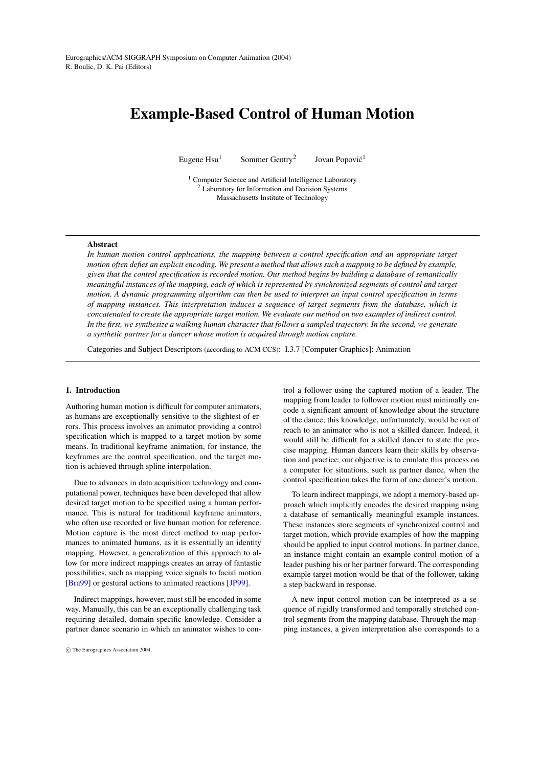# <span id="page-0-0"></span>**Example-Based Control of Human Motion**

Eugene  $Hsu<sup>1</sup>$  Sommer Gentry<sup>2</sup>

Jovan Popović<sup>1</sup>

<sup>1</sup> Computer Science and Artificial Intelligence Laboratory  $2$  Laboratory for Information and Decision Systems Massachusetts Institute of Technology

## **Abstract**

*In human motion control applications, the mapping between a control specification and an appropriate target* motion often defies an explicit encoding. We present a method that allows such a mapping to be defined by example, given that the control specification is recorded motion. Our method begins by building a database of semantically meaningful instances of the mapping, each of which is represented by synchronized segments of control and target motion. A dynamic programming algorithm can then be used to interpret an input control specification in terms *of mapping instances. This interpretation induces a sequence of target segments from the database, which is* concatenated to create the appropriate target motion. We evaluate our method on two examples of indirect control. In the first, we synthesize a walking human character that follows a sampled trajectory. In the second, we generate *a synthetic partner for a dancer whose motion is acquired through motion capture.*

Categories and Subject Descriptors (according to ACM CCS): I.3.7 [Computer Graphics]: Animation

#### **1. Introduction**

Authoring human motion is difficult for computer animators, as humans are exceptionally sensitive to the slightest of errors. This process involves an animator providing a control specification which is mapped to a target motion by some means. In traditional keyframe animation, for instance, the keyframes are the control specification, and the target motion is achieved through spline interpolation.

Due to advances in data acquisition technology and computational power, techniques have been developed that allow desired target motion to be specified using a human performance. This is natural for traditional keyframe animators, who often use recorded or live human motion for reference. Motion capture is the most direct method to map performances to animated humans, as it is essentially an identity mapping. However, a generalization of this approach to allow for more indirect mappings creates an array of fantastic possibilities, such as mapping voice signals to facial motion [\[Bra99\]](#page-8-0) or gestural actions to animated reactions [\[JP99\]](#page-8-1).

Indirect mappings, however, muststill be encoded in some way. Manually, this can be an exceptionally challenging task requiring detailed, domain-specific knowledge. Consider a partner dance scenario in which an animator wishes to con-

c The Eurographics Association 2004.

trol a follower using the captured motion of a leader. The mapping from leader to follower motion must minimally encode a significant amount of knowledge about the structure of the dance; this knowledge, unfortunately, would be out of reach to an animator who is not a skilled dancer. Indeed, it would still be difficult for a skilled dancer to state the precise mapping. Human dancers learn their skills by observation and practice; our objective is to emulate this process on a computer for situations, such as partner dance, when the control specification takes the form of one dancer's motion.

To learn indirect mappings, we adopt a memory-based approach which implicitly encodes the desired mapping using a database of semantically meaningful example instances. These instances store segments of synchronized control and target motion, which provide examples of how the mapping should be applied to input control motions. In partner dance, an instance might contain an example control motion of a leader pushing his or her partner forward. The corresponding example target motion would be that of the follower, taking a step backward in response.

A new input control motion can be interpreted as a sequence of rigidly transformed and temporally stretched control segments from the mapping database. Through the mapping instances, a given interpretation also corresponds to a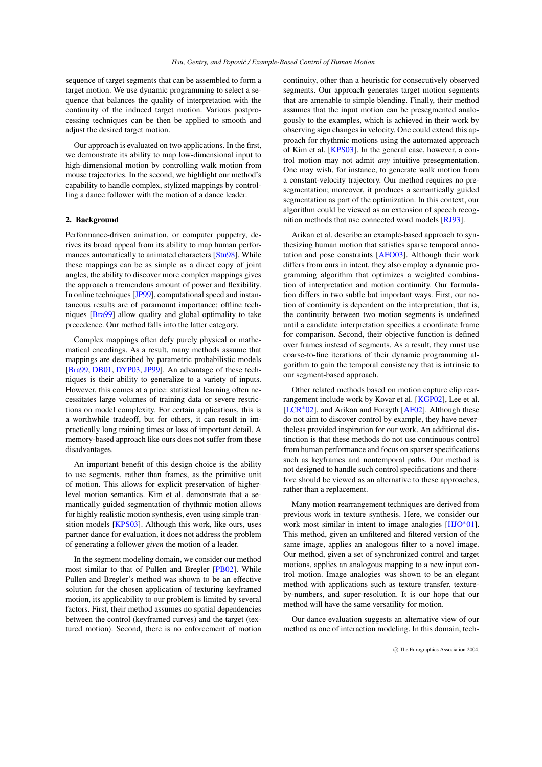<span id="page-1-0"></span>sequence of target segments that can be assembled to form a target motion. We use dynamic programming to select a sequence that balances the quality of interpretation with the continuity of the induced target motion. Various postprocessing techniques can be then be applied to smooth and adjust the desired target motion.

Our approach is evaluated on two applications. In the first, we demonstrate its ability to map low-dimensional input to high-dimensional motion by controlling walk motion from mouse trajectories. In the second, we highlight our method's capability to handle complex, stylized mappings by controlling a dance follower with the motion of a dance leader.

# **2. Background**

Performance-driven animation, or computer puppetry, derives its broad appeal from its ability to map human performances automatically to animated characters [\[Stu98\]](#page-8-2). While these mappings can be as simple as a direct copy of joint angles, the ability to discover more complex mappings gives the approach a tremendous amount of power and flexibility. In online techniques [\[JP99\]](#page-8-1), computational speed and instantaneous results are of paramount importance; offline techniques [\[Bra99\]](#page-8-0) allow quality and global optimality to take precedence. Our method falls into the latter category.

Complex mappings often defy purely physical or mathematical encodings. As a result, many methods assume that mappings are described by parametric probabilistic models [\[Bra99,](#page-8-0) [DB01,](#page-8-3) [DYP03,](#page-8-4) [JP99\]](#page-8-1). An advantage of these techniques is their ability to generalize to a variety of inputs. However, this comes at a price: statistical learning often necessitates large volumes of training data or severe restrictions on model complexity. For certain applications, this is a worthwhile tradeoff, but for others, it can result in impractically long training times or loss of important detail. A memory-based approach like ours does not suffer from these disadvantages.

An important benefit of this design choice is the ability to use segments, rather than frames, as the primitive unit of motion. This allows for explicit preservation of higherlevel motion semantics. Kim et al. demonstrate that a semantically guided segmentation of rhythmic motion allows for highly realistic motion synthesis, even using simple transition models [\[KPS03\]](#page-8-5). Although this work, like ours, uses partner dance for evaluation, it does not address the problem of generating a follower *given* the motion of a leader.

In the segment modeling domain, we consider our method most similar to that of Pullen and Bregler [\[PB02\]](#page-8-6). While Pullen and Bregler's method was shown to be an effective solution for the chosen application of texturing keyframed motion, its applicability to our problem is limited by several factors. First, their method assumes no spatial dependencies between the control (keyframed curves) and the target (textured motion). Second, there is no enforcement of motion continuity, other than a heuristic for consecutively observed segments. Our approach generates target motion segments that are amenable to simple blending. Finally, their method assumes that the input motion can be presegmented analogously to the examples, which is achieved in their work by observing sign changes in velocity. One could extend this approach for rhythmic motions using the automated approach of Kim et al. [\[KPS03\]](#page-8-5). In the general case, however, a control motion may not admit *any* intuitive presegmentation. One may wish, for instance, to generate walk motion from a constant-velocity trajectory. Our method requires no presegmentation; moreover, it produces a semantically guided segmentation as part of the optimization. In this context, our algorithm could be viewed as an extension of speech recognition methods that use connected word models [\[RJ93\]](#page-8-7).

Arikan et al. describe an example-based approach to synthesizing human motion that satisfies sparse temporal annotation and pose constraints [\[AFO03\]](#page-8-8). Although their work differs from ours in intent, they also employ a dynamic programming algorithm that optimizes a weighted combination of interpretation and motion continuity. Our formulation differs in two subtle but important ways. First, our notion of continuity is dependent on the interpretation; that is, the continuity between two motion segments is undefined until a candidate interpretation specifies a coordinate frame for comparison. Second, their objective function is defined over frames instead of segments. As a result, they must use coarse-to-fine iterations of their dynamic programming algorithm to gain the temporal consistency that is intrinsic to our segment-based approach.

Other related methods based on motion capture clip rearrangement include work by Kovar et al. [\[KGP02\]](#page-8-9), Lee et al. [\[LCR](#page-8-10)∗02], and Arikan and Forsyth [\[AF02\]](#page-8-11). Although these do not aim to discover control by example, they have nevertheless provided inspiration for our work. An additional distinction is that these methods do not use continuous control from human performance and focus on sparser specifications such as keyframes and nontemporal paths. Our method is not designed to handle such control specifications and therefore should be viewed as an alternative to these approaches, rather than a replacement.

Many motion rearrangement techniques are derived from previous work in texture synthesis. Here, we consider our work most similar in intent to image analogies [\[HJO](#page-8-12)∗01]. This method, given an unfiltered and filtered version of the same image, applies an analogous filter to a novel image. Our method, given a set of synchronized control and target motions, applies an analogous mapping to a new input control motion. Image analogies was shown to be an elegant method with applications such as texture transfer, textureby-numbers, and super-resolution. It is our hope that our method will have the same versatility for motion.

Our dance evaluation suggests an alternative view of our method as one of interaction modeling. In this domain, tech-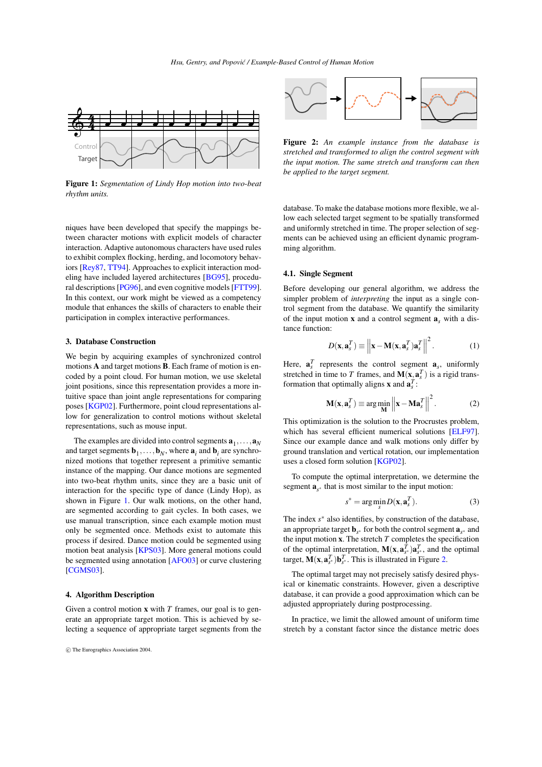<span id="page-2-6"></span>

<span id="page-2-0"></span>**Figure 1:** *Segmentation of Lindy Hop motion into two-beat rhythm units.*

niques have been developed that specify the mappings between character motions with explicit models of character interaction. Adaptive autonomous characters have used rules to exhibit complex flocking, herding, and locomotory behaviors [\[Rey87,](#page-8-13) [TT94\]](#page-8-14). Approaches to explicit interaction modeling have included layered architectures [\[BG95\]](#page-8-15), procedural descriptions[\[PG96\]](#page-8-16), and even cognitive models [\[FTT99\]](#page-8-17). In this context, our work might be viewed as a competency module that enhances the skills of characters to enable their participation in complex interactive performances.

## <span id="page-2-3"></span>**3. Database Construction**

We begin by acquiring examples of synchronized control motions **A** and target motions **B**. Each frame of motion is encoded by a point cloud. For human motion, we use skeletal joint positions, since this representation provides a more intuitive space than joint angle representations for comparing poses [\[KGP02\]](#page-8-9). Furthermore, point cloud representations allow for generalization to control motions without skeletal representations, such as mouse input.

The examples are divided into control segments  $\mathbf{a}_1, \ldots, \mathbf{a}_N$ and target segments  $\mathbf{b}_1, \ldots, \mathbf{b}_N$ , where  $\mathbf{a}_i$  and  $\mathbf{b}_i$  are synchronized motions that together represent a primitive semantic instance of the mapping. Our dance motions are segmented into two-beat rhythm units, since they are a basic unit of interaction for the specific type of dance (Lindy Hop), as shown in Figure [1.](#page-2-0) Our walk motions, on the other hand, are segmented according to gait cycles. In both cases, we use manual transcription, since each example motion must only be segmented once. Methods exist to automate this process if desired. Dance motion could be segmented using motion beat analysis [\[KPS03\]](#page-8-5). More general motions could be segmented using annotation [\[AFO03\]](#page-8-8) or curve clustering [\[CGMS03\]](#page-8-18).

#### <span id="page-2-5"></span>**4. Algorithm Description**

Given a control motion **x** with *T* frames, our goal is to generate an appropriate target motion. This is achieved by selecting a sequence of appropriate target segments from the



<span id="page-2-1"></span>**Figure 2:** *An example instance from the database is stretched and transformed to align the control segment with the input motion. The same stretch and transform can then be applied to the target segment.*

database. To make the database motions more flexible, we allow each selected target segment to be spatially transformed and uniformly stretched in time. The proper selection of segments can be achieved using an efficient dynamic programming algorithm.

## <span id="page-2-2"></span>**4.1. Single Segment**

Before developing our general algorithm, we address the simpler problem of *interpreting* the input as a single control segment from the database. We quantify the similarity of the input motion **x** and a control segment **a***<sup>s</sup>* with a distance function:

$$
D(\mathbf{x}, \mathbf{a}_s^T) \equiv \left\| \mathbf{x} - \mathbf{M}(\mathbf{x}, \mathbf{a}_s^T) \mathbf{a}_s^T \right\|^2.
$$
 (1)

<span id="page-2-4"></span>Here,  $\mathbf{a}_s^T$  represents the control segment  $\mathbf{a}_s$ , uniformly stretched in time to *T* frames, and  $\mathbf{M}(\mathbf{x}, \mathbf{a}_s^T)$  is a rigid transformation that optimally aligns **x** and  $\mathbf{a}_s^T$ :

$$
\mathbf{M}(\mathbf{x}, \mathbf{a}_s^T) \equiv \arg\min_{\mathbf{M}} \left\| \mathbf{x} - \mathbf{M} \mathbf{a}_s^T \right\|^2.
$$
 (2)

This optimization is the solution to the Procrustes problem, which has several efficient numerical solutions [\[ELF97\]](#page-8-19). Since our example dance and walk motions only differ by ground translation and vertical rotation, our implementation uses a closed form solution [\[KGP02\]](#page-8-9).

To compute the optimal interpretation, we determine the segment  $\mathbf{a}_{s^*}$  that is most similar to the input motion:

$$
s^* = \arg\min_{s} D(\mathbf{x}, \mathbf{a}_s^T). \tag{3}
$$

The index  $s^*$  also identifies, by construction of the database, an appropriate target **b***<sup>s</sup>* <sup>∗</sup> for both the control segment **a***<sup>s</sup>* <sup>∗</sup> and the input motion  $x$ . The stretch  $T$  completes the specification of the optimal interpretation,  $\mathbf{M}(\mathbf{x}, \mathbf{a}_{s^*}^T) \mathbf{a}_{s^*}^T$ , and the optimal target,  $\mathbf{M}(\mathbf{x}, \mathbf{a}_{s^*}^T) \mathbf{b}_{s^*}^T$ . This is illustrated in Figure [2.](#page-2-1)

The optimal target may not precisely satisfy desired physical or kinematic constraints. However, given a descriptive database, it can provide a good approximation which can be adjusted appropriately during postprocessing.

In practice, we limit the allowed amount of uniform time stretch by a constant factor since the distance metric does

c The Eurographics Association 2004.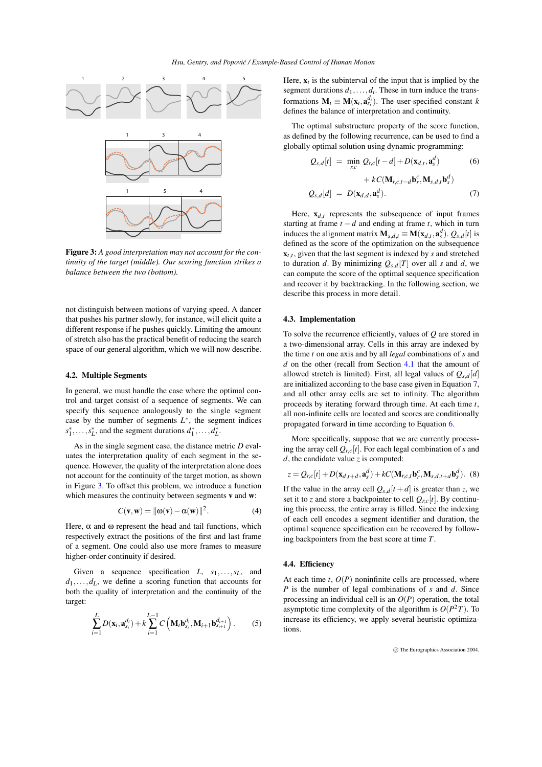

<span id="page-3-0"></span>**Figure 3:** *A good interpretation may not account for the continuity of the target (middle). Our scoring function strikes a balance between the two (bottom).*

not distinguish between motions of varying speed. A dancer that pushes his partner slowly, for instance, will elicit quite a different response if he pushes quickly. Limiting the amount of stretch also has the practical benefit of reducing the search space of our general algorithm, which we will now describe.

# <span id="page-3-4"></span>**4.2. Multiple Segments**

In general, we must handle the case where the optimal control and target consist of a sequence of segments. We can specify this sequence analogously to the single segment case by the number of segments  $L^*$ , the segment indices  $s_1^*, \ldots, s_L^*$ , and the segment durations  $d_1^*, \ldots, d_L^*$ .

As in the single segment case, the distance metric *D* evaluates the interpretation quality of each segment in the sequence. However, the quality of the interpretation alone does not account for the continuity of the target motion, as shown in Figure [3.](#page-3-0) To offset this problem, we introduce a function which measures the continuity between segments **v** and **w**:

$$
C(\mathbf{v}, \mathbf{w}) = ||\mathbf{\omega}(\mathbf{v}) - \mathbf{\alpha}(\mathbf{w})||^2.
$$
 (4)

Here,  $\alpha$  and  $\omega$  represent the head and tail functions, which respectively extract the positions of the first and last frame of a segment. One could also use more frames to measure higher-order continuity if desired.

Given a sequence specification *L*, *s*1,...,*sL*, and  $d_1$ ,..., $d_L$ , we define a scoring function that accounts for both the quality of interpretation and the continuity of the target:

$$
\sum_{i=1}^{L} D(\mathbf{x}_{i}, \mathbf{a}_{s_{i}}^{d_{i}}) + k \sum_{i=1}^{L-1} C\left(\mathbf{M}_{i} \mathbf{b}_{s_{i}}^{d_{i}}, \mathbf{M}_{i+1} \mathbf{b}_{s_{i+1}}^{d_{i+1}}\right).
$$
 (5)

Here,  $\mathbf{x}_i$  is the subinterval of the input that is implied by the segment durations  $d_1, \ldots, d_i$ . These in turn induce the transformations  $\mathbf{M}_i \equiv \mathbf{M}(\mathbf{x}_i, \mathbf{a}_{s_i}^{d_i})$ . The user-specified constant *k* defines the balance of interpretation and continuity.

<span id="page-3-1"></span>The optimal substructure property of the score function, as defined by the following recurrence, can be used to find a globally optimal solution using dynamic programming:

$$
Q_{s,d}[t] = \min_{r,c} Q_{r,c}[t-d] + D(\mathbf{x}_{d,t}, \mathbf{a}_s^d)
$$
(6)  
+  $kC(\mathbf{M}_{r,c,t-d}\mathbf{b}_r^c, \mathbf{M}_{s,d,t}\mathbf{b}_s^d)$   

$$
Q_{s,d}[d] = D(\mathbf{x}_{d,d}, \mathbf{a}_s^d).
$$
(7)

Here,  $\mathbf{x}_{d,t}$  represents the subsequence of input frames starting at frame  $t - d$  and ending at frame  $t$ , which in turn induces the alignment matrix  $\mathbf{M}_{s,d,t} \equiv \mathbf{M}(\mathbf{x}_{d,t}, \mathbf{a}_s^d)$ .  $Q_{s,d}[t]$  is defined as the score of the optimization on the subsequence  $\mathbf{x}_{t,t}$ , given that the last segment is indexed by *s* and stretched to duration *d*. By minimizing  $Q_{s,d}[T]$  over all *s* and *d*, we can compute the score of the optimal sequence specification and recover it by backtracking. In the following section, we describe this process in more detail.

### <span id="page-3-2"></span>**4.3. Implementation**

To solve the recurrence efficiently, values of *Q* are stored in a two-dimensional array. Cells in this array are indexed by the time *t* on one axis and by all *legal* combinations of *s* and *d* on the other (recall from Section [4.1](#page-2-2) that the amount of allowed stretch is limited). First, all legal values of  $Q_{s,d}[d]$ are initialized according to the base case given in Equation [7,](#page-3-1) and all other array cells are set to infinity. The algorithm proceeds by iterating forward through time. At each time *t*, all non-infinite cells are located and scores are conditionally propagated forward in time according to Equation [6.](#page-3-1)

More specifically, suppose that we are currently processing the array cell  $Q_{r,c}[t]$ . For each legal combination of *s* and *d*, the candidate value *z* is computed:

$$
z = Q_{r,c}[t] + D(\mathbf{x}_{d,t+d}, \mathbf{a}_s^d) + kC(\mathbf{M}_{r,c,t} \mathbf{b}_r^c, \mathbf{M}_{s,d,t+d} \mathbf{b}_s^d).
$$
 (8)

If the value in the array cell  $Q_{s,d}[t+d]$  is greater than *z*, we set it to *z* and store a backpointer to cell  $Q_{r,c}[t]$ . By continuing this process, the entire array is filled. Since the indexing of each cell encodes a segment identifier and duration, the optimal sequence specification can be recovered by following backpointers from the best score at time *T*.

## <span id="page-3-3"></span>**4.4. Efficiency**

At each time  $t$ ,  $O(P)$  noninfinite cells are processed, where *P* is the number of legal combinations of *s* and *d*. Since processing an individual cell is an *O*(*P*) operation, the total asymptotic time complexity of the algorithm is  $O(P^2T)$ . To increase its efficiency, we apply several heuristic optimizations.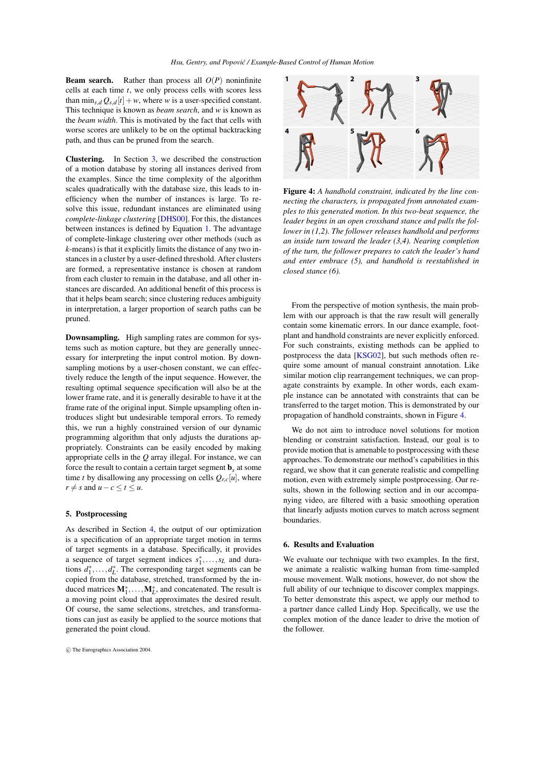<span id="page-4-2"></span>**Beam search.** Rather than process all  $O(P)$  noninfinite cells at each time *t*, we only process cells with scores less than  $\min_{s,d} Q_{s,d}[t] + w$ , where *w* is a user-specified constant. This technique is known as *beam search*, and *w* is known as the *beam width*. This is motivated by the fact that cells with worse scores are unlikely to be on the optimal backtracking path, and thus can be pruned from the search.

**Clustering.** In Section [3,](#page-2-3) we described the construction of a motion database by storing all instances derived from the examples. Since the time complexity of the algorithm scales quadratically with the database size, this leads to inefficiency when the number of instances is large. To resolve this issue, redundant instances are eliminated using *complete-linkage clustering* [\[DHS00\]](#page-8-20). For this, the distances between instances is defined by Equation [1.](#page-2-4) The advantage of complete-linkage clustering over other methods (such as *k*-means) is that it explicitly limits the distance of any two instances in a cluster by a user-defined threshold. After clusters are formed, a representative instance is chosen at random from each cluster to remain in the database, and all other instances are discarded. An additional benefit of this process is that it helps beam search; since clustering reduces ambiguity in interpretation, a larger proportion of search paths can be pruned.

**Downsampling.** High sampling rates are common for systems such as motion capture, but they are generally unnecessary for interpreting the input control motion. By downsampling motions by a user-chosen constant, we can effectively reduce the length of the input sequence. However, the resulting optimal sequence specification will also be at the lower frame rate, and it is generally desirable to have it at the frame rate of the original input. Simple upsampling often introduces slight but undesirable temporal errors. To remedy this, we run a highly constrained version of our dynamic programming algorithm that only adjusts the durations appropriately. Constraints can be easily encoded by making appropriate cells in the *Q* array illegal. For instance, we can force the result to contain a certain target segment **b***<sup>s</sup>* at some time *t* by disallowing any processing on cells  $Q_{rc}[u]$ , where  $r \neq s$  and  $u - c \leq t \leq u$ .

## <span id="page-4-1"></span>**5. Postprocessing**

As described in Section [4,](#page-2-5) the output of our optimization is a specification of an appropriate target motion in terms of target segments in a database. Specifically, it provides a sequence of target segment indices  $s_1^*, \ldots, s_L$  and durations  $d_1^*, \ldots, d_L^*$ . The corresponding target segments can be copied from the database, stretched, transformed by the induced matrices  $M_1^*, \ldots, M_L^*$ , and concatenated. The result is a moving point cloud that approximates the desired result. Of course, the same selections, stretches, and transformations can just as easily be applied to the source motions that generated the point cloud.



<span id="page-4-0"></span>**Figure 4:** *A handhold constraint, indicated by the line connecting the characters, is propagated from annotated examples to this generated motion. In this two-beat sequence, the leader begins in an open crosshand stance and pulls the follower in (1,2). The follower releases handhold and performs an inside turn toward the leader (3,4). Nearing completion of the turn, the follower prepares to catch the leader's hand and enter embrace (5), and handhold is reestablished in closed stance (6).*

From the perspective of motion synthesis, the main problem with our approach is that the raw result will generally contain some kinematic errors. In our dance example, footplant and handhold constraints are never explicitly enforced. For such constraints, existing methods can be applied to postprocess the data [\[KSG02\]](#page-8-21), but such methods often require some amount of manual constraint annotation. Like similar motion clip rearrangement techniques, we can propagate constraints by example. In other words, each example instance can be annotated with constraints that can be transferred to the target motion. This is demonstrated by our propagation of handhold constraints, shown in Figure [4.](#page-4-0)

We do not aim to introduce novel solutions for motion blending or constraint satisfaction. Instead, our goal is to provide motion that is amenable to postprocessing with these approaches. To demonstrate our method's capabilities in this regard, we show that it can generate realistic and compelling motion, even with extremely simple postprocessing. Our results, shown in the following section and in our accompanying video, are filtered with a basic smoothing operation that linearly adjusts motion curves to match across segment boundaries.

## **6. Results and Evaluation**

We evaluate our technique with two examples. In the first, we animate a realistic walking human from time-sampled mouse movement. Walk motions, however, do not show the full ability of our technique to discover complex mappings. To better demonstrate this aspect, we apply our method to a partner dance called Lindy Hop. Specifically, we use the complex motion of the dance leader to drive the motion of the follower.

c The Eurographics Association 2004.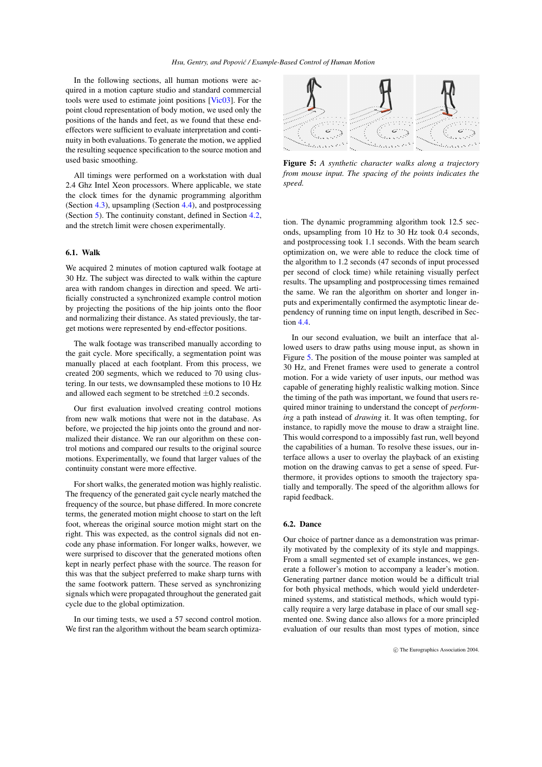<span id="page-5-1"></span>In the following sections, all human motions were acquired in a motion capture studio and standard commercial tools were used to estimate joint positions [\[Vic03\]](#page-8-22). For the point cloud representation of body motion, we used only the positions of the hands and feet, as we found that these endeffectors were sufficient to evaluate interpretation and continuity in both evaluations. To generate the motion, we applied the resulting sequence specification to the source motion and used basic smoothing.

All timings were performed on a workstation with dual 2.4 Ghz Intel Xeon processors. Where applicable, we state the clock times for the dynamic programming algorithm (Section [4.3\)](#page-3-2), upsampling (Section [4.4\)](#page-3-3), and postprocessing (Section [5\)](#page-4-1). The continuity constant, defined in Section [4.2,](#page-3-4) and the stretch limit were chosen experimentally.

# **6.1. Walk**

We acquired 2 minutes of motion captured walk footage at 30 Hz. The subject was directed to walk within the capture area with random changes in direction and speed. We artificially constructed a synchronized example control motion by projecting the positions of the hip joints onto the floor and normalizing their distance. As stated previously, the target motions were represented by end-effector positions.

The walk footage was transcribed manually according to the gait cycle. More specifically, a segmentation point was manually placed at each footplant. From this process, we created 200 segments, which we reduced to 70 using clustering. In our tests, we downsampled these motions to 10 Hz and allowed each segment to be stretched  $\pm 0.2$  seconds.

Our first evaluation involved creating control motions from new walk motions that were not in the database. As before, we projected the hip joints onto the ground and normalized their distance. We ran our algorithm on these control motions and compared our results to the original source motions. Experimentally, we found that larger values of the continuity constant were more effective.

For short walks, the generated motion was highly realistic. The frequency of the generated gait cycle nearly matched the frequency of the source, but phase differed. In more concrete terms, the generated motion might choose to start on the left foot, whereas the original source motion might start on the right. This was expected, as the control signals did not encode any phase information. For longer walks, however, we were surprised to discover that the generated motions often kept in nearly perfect phase with the source. The reason for this was that the subject preferred to make sharp turns with the same footwork pattern. These served as synchronizing signals which were propagated throughout the generated gait cycle due to the global optimization.

In our timing tests, we used a 57 second control motion. We first ran the algorithm without the beam search optimiza-



<span id="page-5-0"></span>**Figure 5:** *A synthetic character walks along a trajectory from mouse input. The spacing of the points indicates the speed.*

tion. The dynamic programming algorithm took 12.5 seconds, upsampling from 10 Hz to 30 Hz took 0.4 seconds, and postprocessing took 1.1 seconds. With the beam search optimization on, we were able to reduce the clock time of the algorithm to 1.2 seconds (47 seconds of input processed per second of clock time) while retaining visually perfect results. The upsampling and postprocessing times remained the same. We ran the algorithm on shorter and longer inputs and experimentally confirmed the asymptotic linear dependency of running time on input length, described in Section [4.4.](#page-3-3)

In our second evaluation, we built an interface that allowed users to draw paths using mouse input, as shown in Figure [5.](#page-5-0) The position of the mouse pointer was sampled at 30 Hz, and Frenet frames were used to generate a control motion. For a wide variety of user inputs, our method was capable of generating highly realistic walking motion. Since the timing of the path was important, we found that users required minor training to understand the concept of *performing* a path instead of *drawing* it. It was often tempting, for instance, to rapidly move the mouse to draw a straight line. This would correspond to a impossibly fast run, well beyond the capabilities of a human. To resolve these issues, our interface allows a user to overlay the playback of an existing motion on the drawing canvas to get a sense of speed. Furthermore, it provides options to smooth the trajectory spatially and temporally. The speed of the algorithm allows for rapid feedback.

# **6.2. Dance**

Our choice of partner dance as a demonstration was primarily motivated by the complexity of its style and mappings. From a small segmented set of example instances, we generate a follower's motion to accompany a leader's motion. Generating partner dance motion would be a difficult trial for both physical methods, which would yield underdetermined systems, and statistical methods, which would typically require a very large database in place of our small segmented one. Swing dance also allows for a more principled evaluation of our results than most types of motion, since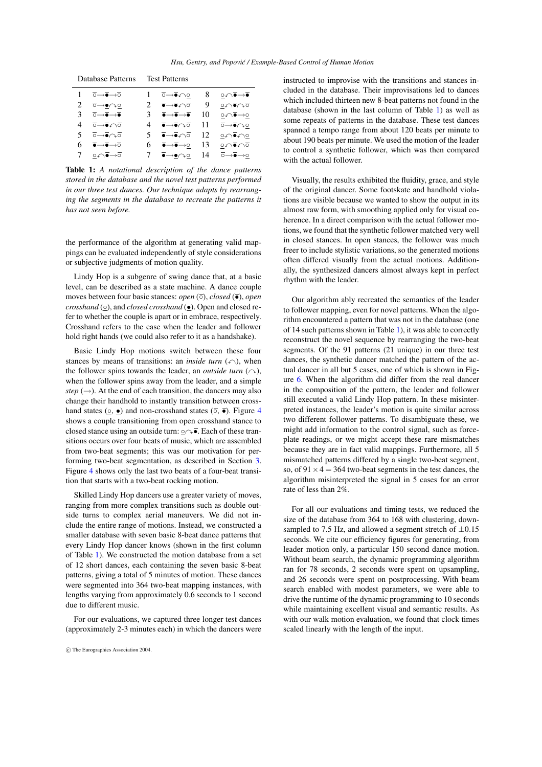| Database Patterns Test Patterns |                                                                                    |  |                                                                                      |     |                                                                     |
|---------------------------------|------------------------------------------------------------------------------------|--|--------------------------------------------------------------------------------------|-----|---------------------------------------------------------------------|
|                                 | $\overline{\circ} \rightarrow \overline{\bullet} \rightarrow \overline{\circ}$     |  |                                                                                      | - 8 | $\circ \curvearrowleft \bullet \rightarrow \bullet$                 |
|                                 | 2 $\overline{0} \rightarrow \bullet \curvearrowright 0$                            |  | 2 $\overline{\bullet} \rightarrow \overline{\bullet} \wedge \overline{\circ}$ 9      |     | $0 \wedge \overline{\bullet} \wedge \overline{0}$                   |
|                                 | 3 $\overline{\circ} \rightarrow \overline{\bullet} \rightarrow \overline{\bullet}$ |  | 3 $\overline{\bullet} \rightarrow \overline{\bullet} \rightarrow \overline{\bullet}$ | 10  | $\circ \curvearrowleft \bullet \longrightarrow \circ$               |
|                                 | 4 $\overline{0} \rightarrow \overline{0} \wedge \overline{0}$                      |  | 4 $\overline{\bullet} \rightarrow \overline{\bullet} \wedge \overline{\circ}$        | 11  | $\overline{\circ} \rightarrow \bullet \curvearrowright \circ$       |
|                                 | 5 $\overline{0} \rightarrow \overline{0} \wedge \overline{0}$                      |  | 5 $\rightarrow \rightarrow \rightarrow \rightarrow \rightarrow$                      | 12  | $0 \wedge \overline{\bullet} \wedge 0$                              |
| 6                               | $\overline{\bullet} \rightarrow \overline{\bullet} \rightarrow \overline{\circ}$   |  |                                                                                      | 13  | $0 \wedge \overline{\bullet} \wedge \overline{0}$                   |
|                                 | 7 ○ ⌒ ● → ○                                                                        |  |                                                                                      | 14  | $\overline{\circ} \rightarrow \overline{\bullet} \rightarrow \circ$ |

<span id="page-6-0"></span>**Table 1:** *A notational description of the dance patterns stored in the database and the novel test patterns performed in our three test dances. Our technique adapts by rearranging the segments in the database to recreate the patterns it has not seen before.*

the performance of the algorithm at generating valid mappings can be evaluated independently of style considerations or subjective judgments of motion quality.

Lindy Hop is a subgenre of swing dance that, at a basic level, can be described as a state machine. A dance couple moves between four basic stances: *open* (◦), *closed* (•), *open crosshand* (○), and *closed crosshand* (●). Open and closed refer to whether the couple is apart or in embrace, respectively. Crosshand refers to the case when the leader and follower hold right hands (we could also refer to it as a handshake).

Basic Lindy Hop motions switch between these four stances by means of transitions: an *inside turn*  $(\cap)$ , when the follower spins towards the leader, an *outside turn*  $(\sim)$ , when the follower spins away from the leader, and a simple *step* ( $\rightarrow$ ). At the end of each transition, the dancers may also change their handhold to instantly transition between crosshand states  $(₀, ◇)$  and non-crosshand states  $(ō, Ē)$ . Figure [4](#page-4-0) shows a couple transitioning from open crosshand stance to closed stance using an outside turn:  $\circ \sim \bullet$ . Each of these transitions occurs over four beats of music, which are assembled from two-beat segments; this was our motivation for performing two-beat segmentation, as described in Section [3.](#page-2-3) Figure [4](#page-4-0) shows only the last two beats of a four-beat transition that starts with a two-beat rocking motion.

Skilled Lindy Hop dancers use a greater variety of moves, ranging from more complex transitions such as double outside turns to complex aerial maneuvers. We did not include the entire range of motions. Instead, we constructed a smaller database with seven basic 8-beat dance patterns that every Lindy Hop dancer knows (shown in the first column of Table [1\)](#page-6-0). We constructed the motion database from a set of 12 short dances, each containing the seven basic 8-beat patterns, giving a total of 5 minutes of motion. These dances were segmented into 364 two-beat mapping instances, with lengths varying from approximately 0.6 seconds to 1 second due to different music.

For our evaluations, we captured three longer test dances (approximately 2-3 minutes each) in which the dancers were instructed to improvise with the transitions and stances included in the database. Their improvisations led to dances which included thirteen new 8-beat patterns not found in the database (shown in the last column of Table [1\)](#page-6-0) as well as some repeats of patterns in the database. These test dances spanned a tempo range from about 120 beats per minute to about 190 beats per minute. We used the motion of the leader to control a synthetic follower, which was then compared with the actual follower.

Visually, the results exhibited the fluidity, grace, and style of the original dancer. Some footskate and handhold violations are visible because we wanted to show the output in its almost raw form, with smoothing applied only for visual coherence. In a direct comparison with the actual follower motions, we found that the synthetic follower matched very well in closed stances. In open stances, the follower was much freer to include stylistic variations, so the generated motions often differed visually from the actual motions. Additionally, the synthesized dancers almost always kept in perfect rhythm with the leader.

Our algorithm ably recreated the semantics of the leader to follower mapping, even for novel patterns. When the algorithm encountered a pattern that was not in the database (one of 14 such patterns shown in Table [1\)](#page-6-0), it was able to correctly reconstruct the novel sequence by rearranging the two-beat segments. Of the 91 patterns (21 unique) in our three test dances, the synthetic dancer matched the pattern of the actual dancer in all but 5 cases, one of which is shown in Figure [6.](#page-7-0) When the algorithm did differ from the real dancer in the composition of the pattern, the leader and follower still executed a valid Lindy Hop pattern. In these misinterpreted instances, the leader's motion is quite similar across two different follower patterns. To disambiguate these, we might add information to the control signal, such as forceplate readings, or we might accept these rare mismatches because they are in fact valid mappings. Furthermore, all 5 mismatched patterns differed by a single two-beat segment, so, of  $91 \times 4 = 364$  two-beat segments in the test dances, the algorithm misinterpreted the signal in 5 cases for an error rate of less than 2%.

For all our evaluations and timing tests, we reduced the size of the database from 364 to 168 with clustering, downsampled to 7.5 Hz, and allowed a segment stretch of  $\pm 0.15$ seconds. We cite our efficiency figures for generating, from leader motion only, a particular 150 second dance motion. Without beam search, the dynamic programming algorithm ran for 78 seconds, 2 seconds were spent on upsampling, and 26 seconds were spent on postprocessing. With beam search enabled with modest parameters, we were able to drive the runtime of the dynamic programming to 10 seconds while maintaining excellent visual and semantic results. As with our walk motion evaluation, we found that clock times scaled linearly with the length of the input.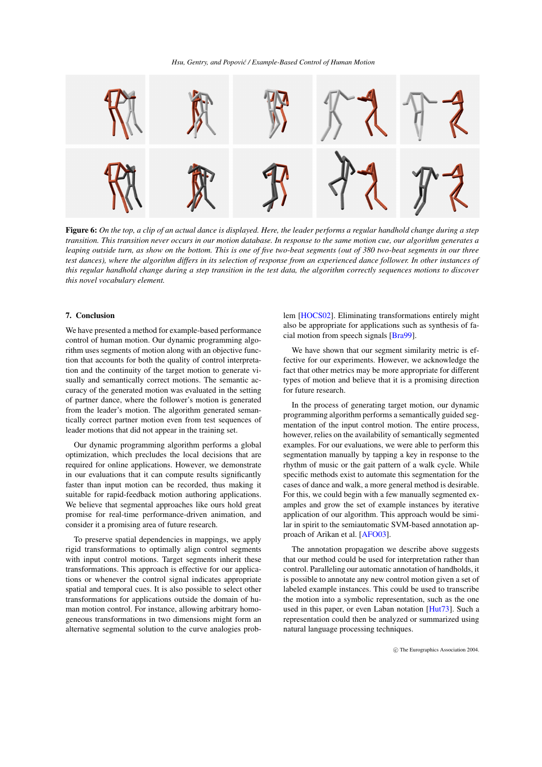<span id="page-7-1"></span>

<span id="page-7-0"></span>Figure 6: On the top, a clip of an actual dance is displayed. Here, the leader performs a regular handhold change during a step transition. This transition never occurs in our motion database. In response to the same motion cue, our algorithm generates a leaping outside turn, as show on the bottom. This is one of five two-beat segments (out of 380 two-beat segments in our three test dances), where the algorithm differs in its selection of response from an experienced dance follower. In other instances of this regular handhold change during a step transition in the test data, the algorithm correctly sequences motions to discover *this novel vocabulary element.*

# **7. Conclusion**

We have presented a method for example-based performance control of human motion. Our dynamic programming algorithm uses segments of motion along with an objective function that accounts for both the quality of control interpretation and the continuity of the target motion to generate visually and semantically correct motions. The semantic accuracy of the generated motion was evaluated in the setting of partner dance, where the follower's motion is generated from the leader's motion. The algorithm generated semantically correct partner motion even from test sequences of leader motions that did not appear in the training set.

Our dynamic programming algorithm performs a global optimization, which precludes the local decisions that are required for online applications. However, we demonstrate in our evaluations that it can compute results significantly faster than input motion can be recorded, thus making it suitable for rapid-feedback motion authoring applications. We believe that segmental approaches like ours hold great promise for real-time performance-driven animation, and consider it a promising area of future research.

To preserve spatial dependencies in mappings, we apply rigid transformations to optimally align control segments with input control motions. Target segments inherit these transformations. This approach is effective for our applications or whenever the control signal indicates appropriate spatial and temporal cues. It is also possible to select other transformations for applications outside the domain of human motion control. For instance, allowing arbitrary homogeneous transformations in two dimensions might form an alternative segmental solution to the curve analogies prob-

lem [\[HOCS02\]](#page-8-23). Eliminating transformations entirely might also be appropriate for applications such as synthesis of facial motion from speech signals [\[Bra99\]](#page-8-0).

We have shown that our segment similarity metric is effective for our experiments. However, we acknowledge the fact that other metrics may be more appropriate for different types of motion and believe that it is a promising direction for future research.

In the process of generating target motion, our dynamic programming algorithm performs a semantically guided segmentation of the input control motion. The entire process, however, relies on the availability of semantically segmented examples. For our evaluations, we were able to perform this segmentation manually by tapping a key in response to the rhythm of music or the gait pattern of a walk cycle. While specific methods exist to automate this segmentation for the cases of dance and walk, a more general method is desirable. For this, we could begin with a few manually segmented examples and grow the set of example instances by iterative application of our algorithm. This approach would be similar in spirit to the semiautomatic SVM-based annotation approach of Arikan et al. [\[AFO03\]](#page-8-8).

The annotation propagation we describe above suggests that our method could be used for interpretation rather than control. Paralleling our automatic annotation of handholds, it is possible to annotate any new control motion given a set of labeled example instances. This could be used to transcribe the motion into a symbolic representation, such as the one used in this paper, or even Laban notation [\[Hut73\]](#page-8-24). Such a representation could then be analyzed or summarized using natural language processing techniques.